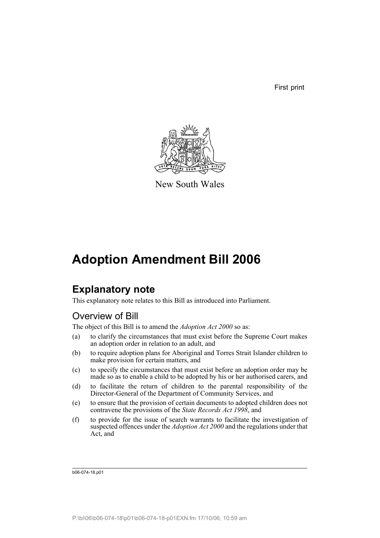First print



New South Wales

# **Adoption Amendment Bill 2006**

## **Explanatory note**

This explanatory note relates to this Bill as introduced into Parliament.

## Overview of Bill

The object of this Bill is to amend the *Adoption Act 2000* so as:

- (a) to clarify the circumstances that must exist before the Supreme Court makes an adoption order in relation to an adult, and
- (b) to require adoption plans for Aboriginal and Torres Strait Islander children to make provision for certain matters, and
- (c) to specify the circumstances that must exist before an adoption order may be made so as to enable a child to be adopted by his or her authorised carers, and
- (d) to facilitate the return of children to the parental responsibility of the Director-General of the Department of Community Services, and
- (e) to ensure that the provision of certain documents to adopted children does not contravene the provisions of the *State Records Act 1998*, and
- (f) to provide for the issue of search warrants to facilitate the investigation of suspected offences under the *Adoption Act 2000* and the regulations under that Act, and

b06-074-18.p01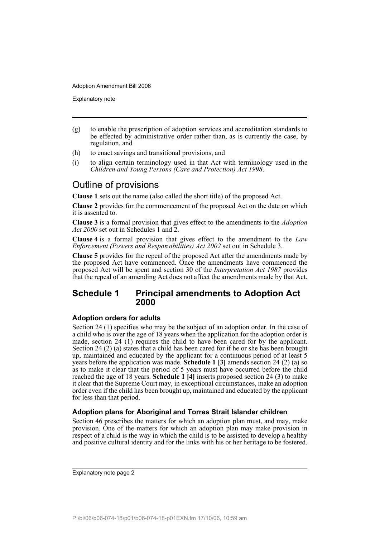Explanatory note

- (g) to enable the prescription of adoption services and accreditation standards to be effected by administrative order rather than, as is currently the case, by regulation, and
- (h) to enact savings and transitional provisions, and
- (i) to align certain terminology used in that Act with terminology used in the *Children and Young Persons (Care and Protection) Act 1998*.

## Outline of provisions

**Clause 1** sets out the name (also called the short title) of the proposed Act.

**Clause 2** provides for the commencement of the proposed Act on the date on which it is assented to.

**Clause 3** is a formal provision that gives effect to the amendments to the *Adoption Act 2000* set out in Schedules 1 and 2.

**Clause 4** is a formal provision that gives effect to the amendment to the *Law Enforcement (Powers and Responsibilities) Act 2002* set out in Schedule 3.

**Clause 5** provides for the repeal of the proposed Act after the amendments made by the proposed Act have commenced. Once the amendments have commenced the proposed Act will be spent and section 30 of the *Interpretation Act 1987* provides that the repeal of an amending Act does not affect the amendments made by that Act.

## **Schedule 1 Principal amendments to Adoption Act 2000**

## **Adoption orders for adults**

Section 24 (1) specifies who may be the subject of an adoption order. In the case of a child who is over the age of 18 years when the application for the adoption order is made, section 24 (1) requires the child to have been cared for by the applicant. Section 24 (2) (a) states that a child has been cared for if he or she has been brought up, maintained and educated by the applicant for a continuous period of at least 5 years before the application was made. **Schedule 1 [3]** amends section 24 (2) (a) so as to make it clear that the period of 5 years must have occurred before the child reached the age of 18 years. **Schedule 1 [4]** inserts proposed section 24 (3) to make it clear that the Supreme Court may, in exceptional circumstances, make an adoption order even if the child has been brought up, maintained and educated by the applicant for less than that period.

## **Adoption plans for Aboriginal and Torres Strait Islander children**

Section 46 prescribes the matters for which an adoption plan must, and may, make provision. One of the matters for which an adoption plan may make provision in respect of a child is the way in which the child is to be assisted to develop a healthy and positive cultural identity and for the links with his or her heritage to be fostered.

Explanatory note page 2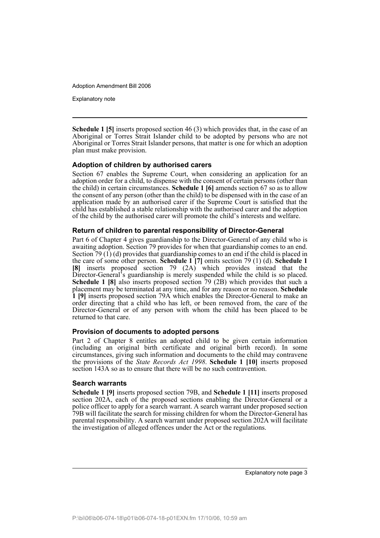Explanatory note

**Schedule 1 [5]** inserts proposed section 46 (3) which provides that, in the case of an Aboriginal or Torres Strait Islander child to be adopted by persons who are not Aboriginal or Torres Strait Islander persons, that matter is one for which an adoption plan must make provision.

## **Adoption of children by authorised carers**

Section 67 enables the Supreme Court, when considering an application for an adoption order for a child, to dispense with the consent of certain persons (other than the child) in certain circumstances. **Schedule 1 [6]** amends section 67 so as to allow the consent of any person (other than the child) to be dispensed with in the case of an application made by an authorised carer if the Supreme Court is satisfied that the child has established a stable relationship with the authorised carer and the adoption of the child by the authorised carer will promote the child's interests and welfare.

## **Return of children to parental responsibility of Director-General**

Part 6 of Chapter 4 gives guardianship to the Director-General of any child who is awaiting adoption. Section 79 provides for when that guardianship comes to an end. Section  $79 (1)$  (d) provides that guardianship comes to an end if the child is placed in the care of some other person. **Schedule 1 [7]** omits section 79 (1) (d). **Schedule 1 [8]** inserts proposed section 79 (2A) which provides instead that the Director-General's guardianship is merely suspended while the child is so placed. **Schedule 1 [8]** also inserts proposed section 79 (2B) which provides that such a placement may be terminated at any time, and for any reason or no reason. **Schedule 1 [9]** inserts proposed section 79A which enables the Director-General to make an order directing that a child who has left, or been removed from, the care of the Director-General or of any person with whom the child has been placed to be returned to that care.

## **Provision of documents to adopted persons**

Part 2 of Chapter 8 entitles an adopted child to be given certain information (including an original birth certificate and original birth record). In some circumstances, giving such information and documents to the child may contravene the provisions of the *State Records Act 1998*. **Schedule 1 [10]** inserts proposed section 143A so as to ensure that there will be no such contravention.

## **Search warrants**

**Schedule 1 [9]** inserts proposed section 79B, and **Schedule 1 [11]** inserts proposed section 202A, each of the proposed sections enabling the Director-General or a police officer to apply for a search warrant. A search warrant under proposed section 79B will facilitate the search for missing children for whom the Director-General has parental responsibility. A search warrant under proposed section 202A will facilitate the investigation of alleged offences under the Act or the regulations.

Explanatory note page 3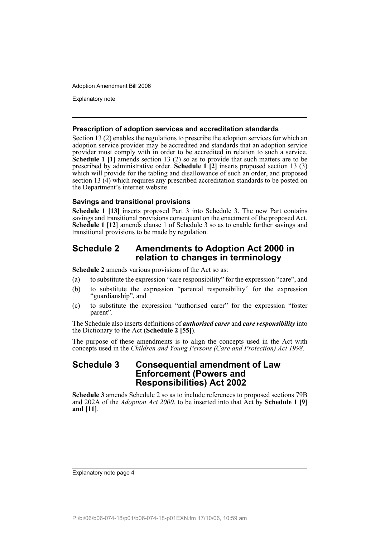Explanatory note

## **Prescription of adoption services and accreditation standards**

Section 13 (2) enables the regulations to prescribe the adoption services for which an adoption service provider may be accredited and standards that an adoption service provider must comply with in order to be accredited in relation to such a service. **Schedule 1 [1]** amends section 13 (2) so as to provide that such matters are to be prescribed by administrative order. **Schedule 1 [2]** inserts proposed section 13 (3) which will provide for the tabling and disallowance of such an order, and proposed section 13  $(4)$  which requires any prescribed accreditation standards to be posted on the Department's internet website.

## **Savings and transitional provisions**

**Schedule 1 [13]** inserts proposed Part 3 into Schedule 3. The new Part contains savings and transitional provisions consequent on the enactment of the proposed Act. **Schedule 1 [12]** amends clause 1 of Schedule 3 so as to enable further savings and transitional provisions to be made by regulation.

## **Schedule 2 Amendments to Adoption Act 2000 in relation to changes in terminology**

**Schedule 2** amends various provisions of the Act so as:

- (a) to substitute the expression "care responsibility" for the expression "care", and
- (b) to substitute the expression "parental responsibility" for the expression "guardianship", and
- (c) to substitute the expression "authorised carer" for the expression "foster parent".

The Schedule also inserts definitions of *authorised carer* and *care responsibility* into the Dictionary to the Act (**Schedule 2 [55]**).

The purpose of these amendments is to align the concepts used in the Act with concepts used in the *Children and Young Persons (Care and Protection) Act 1998*.

## **Schedule 3 Consequential amendment of Law Enforcement (Powers and Responsibilities) Act 2002**

**Schedule 3** amends Schedule 2 so as to include references to proposed sections 79B and 202A of the *Adoption Act 2000*, to be inserted into that Act by **Schedule 1 [9] and [11]**.

Explanatory note page 4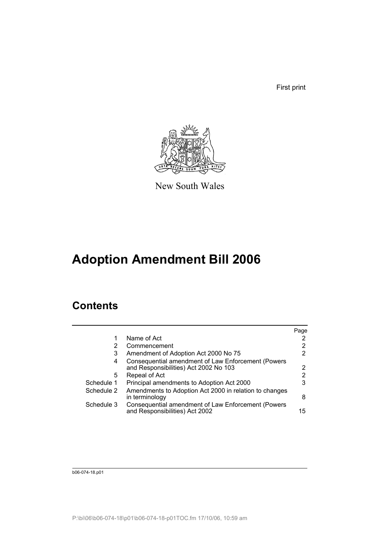First print



New South Wales

# **Adoption Amendment Bill 2006**

## **Contents**

|                                                                                             | Page                  |
|---------------------------------------------------------------------------------------------|-----------------------|
| Name of Act                                                                                 | 2                     |
| Commencement                                                                                | $\mathbf{2}^{\prime}$ |
| Amendment of Adoption Act 2000 No 75                                                        | 2                     |
| Consequential amendment of Law Enforcement (Powers<br>and Responsibilities) Act 2002 No 103 | $\mathbf{2}^{\prime}$ |
| Repeal of Act                                                                               | 2                     |
| Principal amendments to Adoption Act 2000                                                   | 3                     |
| Amendments to Adoption Act 2000 in relation to changes<br>in terminology                    | 8                     |
| Consequential amendment of Law Enforcement (Powers<br>and Responsibilities) Act 2002        | 15                    |
|                                                                                             |                       |

b06-074-18.p01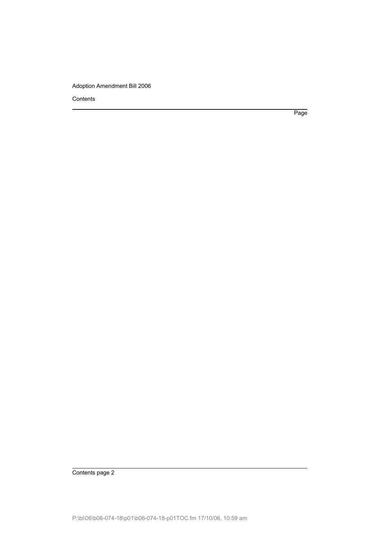Contents

Page

Contents page 2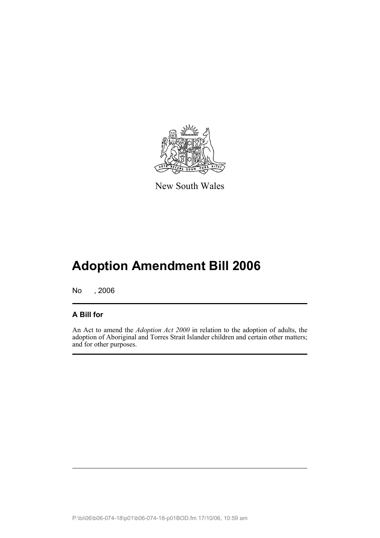

New South Wales

# **Adoption Amendment Bill 2006**

No , 2006

## **A Bill for**

An Act to amend the *Adoption Act 2000* in relation to the adoption of adults, the adoption of Aboriginal and Torres Strait Islander children and certain other matters; and for other purposes.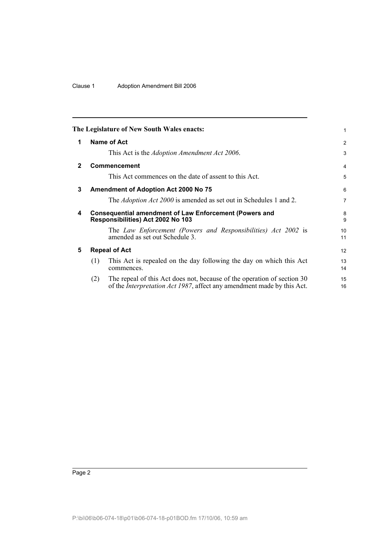## Clause 1 Adoption Amendment Bill 2006

<span id="page-7-4"></span><span id="page-7-3"></span><span id="page-7-2"></span><span id="page-7-1"></span><span id="page-7-0"></span>

|              | The Legislature of New South Wales enacts:                                                                                                                       | 1              |
|--------------|------------------------------------------------------------------------------------------------------------------------------------------------------------------|----------------|
| 1            | Name of Act                                                                                                                                                      | 2              |
|              | This Act is the <i>Adoption Amendment Act 2006</i> .                                                                                                             | 3              |
| $\mathbf{2}$ | <b>Commencement</b>                                                                                                                                              | 4              |
|              | This Act commences on the date of assent to this Act.                                                                                                            | 5              |
| 3            | <b>Amendment of Adoption Act 2000 No 75</b>                                                                                                                      | 6              |
|              | The <i>Adoption Act 2000</i> is amended as set out in Schedules 1 and 2.                                                                                         | $\overline{7}$ |
| 4            | <b>Consequential amendment of Law Enforcement (Powers and</b><br>Responsibilities) Act 2002 No 103                                                               | 8<br>9         |
|              | The Law Enforcement (Powers and Responsibilities) Act 2002 is<br>amended as set out Schedule 3.                                                                  | 10<br>11       |
| 5            | <b>Repeal of Act</b>                                                                                                                                             | 12             |
|              | This Act is repealed on the day following the day on which this Act<br>(1)<br>commences.                                                                         | 13<br>14       |
|              | The repeal of this Act does not, because of the operation of section 30<br>(2)<br>of the <i>Interpretation Act 1987</i> , affect any amendment made by this Act. | 15<br>16       |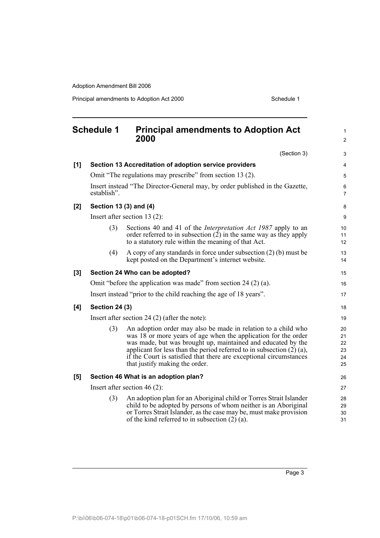Principal amendments to Adoption Act 2000 Schedule 1

<span id="page-8-0"></span>

|       | <b>Schedule 1</b>     | <b>Principal amendments to Adoption Act</b><br>2000                                                                                                                                                                                                                                                                                                                                   | 1<br>$\overline{\mathbf{c}}$     |
|-------|-----------------------|---------------------------------------------------------------------------------------------------------------------------------------------------------------------------------------------------------------------------------------------------------------------------------------------------------------------------------------------------------------------------------------|----------------------------------|
|       |                       | (Section 3)                                                                                                                                                                                                                                                                                                                                                                           | 3                                |
| [1]   |                       | Section 13 Accreditation of adoption service providers                                                                                                                                                                                                                                                                                                                                | 4                                |
|       |                       | Omit "The regulations may prescribe" from section 13 (2).                                                                                                                                                                                                                                                                                                                             | 5                                |
|       | establish".           | Insert instead "The Director-General may, by order published in the Gazette,                                                                                                                                                                                                                                                                                                          | 6<br>$\overline{7}$              |
| $[2]$ |                       | Section 13 (3) and (4)                                                                                                                                                                                                                                                                                                                                                                | 8                                |
|       |                       | Insert after section $13(2)$ :                                                                                                                                                                                                                                                                                                                                                        | 9                                |
|       | (3)                   | Sections 40 and 41 of the <i>Interpretation Act 1987</i> apply to an<br>order referred to in subsection $(2)$ in the same way as they apply<br>to a statutory rule within the meaning of that Act.                                                                                                                                                                                    | 10<br>11<br>12                   |
|       | (4)                   | A copy of any standards in force under subsection $(2)$ (b) must be<br>kept posted on the Department's internet website.                                                                                                                                                                                                                                                              | 13<br>14                         |
| $[3]$ |                       | Section 24 Who can be adopted?                                                                                                                                                                                                                                                                                                                                                        | 15                               |
|       |                       | Omit "before the application was made" from section 24 (2) (a).                                                                                                                                                                                                                                                                                                                       | 16                               |
|       |                       | Insert instead "prior to the child reaching the age of 18 years".                                                                                                                                                                                                                                                                                                                     | 17                               |
| [4]   | <b>Section 24 (3)</b> |                                                                                                                                                                                                                                                                                                                                                                                       | 18                               |
|       |                       | Insert after section 24 $(2)$ (after the note):                                                                                                                                                                                                                                                                                                                                       | 19                               |
|       | (3)                   | An adoption order may also be made in relation to a child who<br>was 18 or more years of age when the application for the order<br>was made, but was brought up, maintained and educated by the<br>applicant for less than the period referred to in subsection $(2)$ $(a)$ ,<br>if the Court is satisfied that there are exceptional circumstances<br>that justify making the order. | 20<br>21<br>22<br>23<br>24<br>25 |
| [5]   |                       | Section 46 What is an adoption plan?                                                                                                                                                                                                                                                                                                                                                  | 26                               |
|       |                       | Insert after section $46(2)$ :                                                                                                                                                                                                                                                                                                                                                        | 27                               |
|       | (3)                   | An adoption plan for an Aboriginal child or Torres Strait Islander<br>child to be adopted by persons of whom neither is an Aboriginal<br>or Torres Strait Islander, as the case may be, must make provision<br>of the kind referred to in subsection $(2)$ (a).                                                                                                                       | 28<br>29<br>30<br>31             |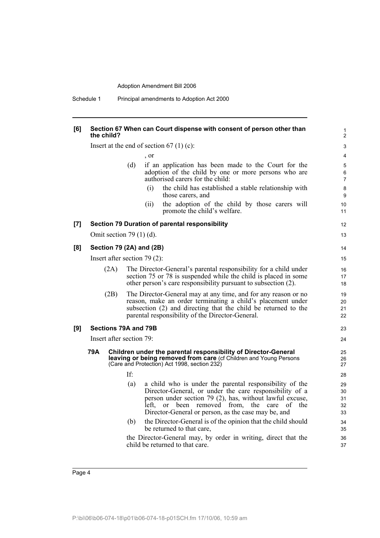| [6] |     | the child? |                               | Section 67 When can Court dispense with consent of person other than                                                                                                                                                                                                                       | 1<br>$\overline{c}$        |
|-----|-----|------------|-------------------------------|--------------------------------------------------------------------------------------------------------------------------------------------------------------------------------------------------------------------------------------------------------------------------------------------|----------------------------|
|     |     |            |                               | Insert at the end of section 67 (1) (c):                                                                                                                                                                                                                                                   | 3                          |
|     |     |            |                               | , or                                                                                                                                                                                                                                                                                       | 4                          |
|     |     |            | (d)                           | if an application has been made to the Court for the<br>adoption of the child by one or more persons who are<br>authorised carers for the child:                                                                                                                                           | 5<br>6<br>$\overline{7}$   |
|     |     |            |                               | the child has established a stable relationship with<br>(i)<br>those carers, and                                                                                                                                                                                                           | 8<br>9                     |
|     |     |            |                               | the adoption of the child by those carers will<br>(ii)<br>promote the child's welfare.                                                                                                                                                                                                     | 10<br>11                   |
| [7] |     |            |                               | Section 79 Duration of parental responsibility                                                                                                                                                                                                                                             | 12                         |
|     |     |            | Omit section 79 $(1)$ $(d)$ . |                                                                                                                                                                                                                                                                                            | 13                         |
| [8] |     |            |                               | Section 79 (2A) and (2B)                                                                                                                                                                                                                                                                   | 14                         |
|     |     |            |                               | Insert after section $79(2)$ :                                                                                                                                                                                                                                                             | 15                         |
|     |     | (2A)       |                               | The Director-General's parental responsibility for a child under<br>section 75 or 78 is suspended while the child is placed in some<br>other person's care responsibility pursuant to subsection (2).                                                                                      | 16<br>17<br>18             |
|     |     | (2B)       |                               | The Director-General may at any time, and for any reason or no<br>reason, make an order terminating a child's placement under<br>subsection (2) and directing that the child be returned to the<br>parental responsibility of the Director-General.                                        | 19<br>20<br>21<br>22       |
| [9] |     |            | Sections 79A and 79B          |                                                                                                                                                                                                                                                                                            | 23                         |
|     |     |            | Insert after section 79:      |                                                                                                                                                                                                                                                                                            | 24                         |
|     | 79A |            |                               | Children under the parental responsibility of Director-General<br>leaving or being removed from care (cf Children and Young Persons<br>(Care and Protection) Act 1998, section 232)                                                                                                        | 25<br>26<br>27             |
|     |     |            | If:                           |                                                                                                                                                                                                                                                                                            | 28                         |
|     |     |            | (a)                           | a child who is under the parental responsibility of the<br>Director-General, or under the care responsibility of a<br>person under section 79 (2), has, without lawful excuse,<br>left,<br>or been removed from, the care<br>of the<br>Director-General or person, as the case may be, and | 29<br>30<br>31<br>32<br>33 |
|     |     |            | (b)                           | the Director-General is of the opinion that the child should<br>be returned to that care.                                                                                                                                                                                                  | 34<br>35                   |
|     |     |            |                               | the Director-General may, by order in writing, direct that the<br>child be returned to that care.                                                                                                                                                                                          | 36<br>37                   |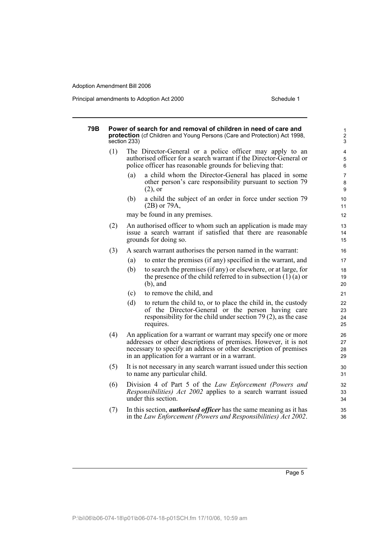Principal amendments to Adoption Act 2000 Schedule 1

| 79B |     | section 233) | Power of search for and removal of children in need of care and<br>protection (cf Children and Young Persons (Care and Protection) Act 1998,                                                                                                               | 1<br>$\overline{c}$<br>3          |
|-----|-----|--------------|------------------------------------------------------------------------------------------------------------------------------------------------------------------------------------------------------------------------------------------------------------|-----------------------------------|
|     | (1) |              | The Director-General or a police officer may apply to an<br>authorised officer for a search warrant if the Director-General or<br>police officer has reasonable grounds for believing that:                                                                | $\overline{\mathbf{4}}$<br>5<br>6 |
|     |     | (a)          | a child whom the Director-General has placed in some<br>other person's care responsibility pursuant to section 79<br>$(2)$ , or                                                                                                                            | $\boldsymbol{7}$<br>8<br>9        |
|     |     | (b)          | a child the subject of an order in force under section 79<br>$(2B)$ or 79A,                                                                                                                                                                                | 10<br>11                          |
|     |     |              | may be found in any premises.                                                                                                                                                                                                                              | 12                                |
|     | (2) |              | An authorised officer to whom such an application is made may<br>issue a search warrant if satisfied that there are reasonable<br>grounds for doing so.                                                                                                    | 13<br>14<br>15                    |
|     | (3) |              | A search warrant authorises the person named in the warrant:                                                                                                                                                                                               | 16                                |
|     |     | (a)          | to enter the premises (if any) specified in the warrant, and                                                                                                                                                                                               | 17                                |
|     |     | (b)          | to search the premises (if any) or elsewhere, or at large, for<br>the presence of the child referred to in subsection $(1)(a)$ or<br>$(b)$ , and                                                                                                           | 18<br>19<br>20                    |
|     |     | (c)          | to remove the child, and                                                                                                                                                                                                                                   | 21                                |
|     |     | (d)          | to return the child to, or to place the child in, the custody<br>of the Director-General or the person having care<br>responsibility for the child under section 79 $(2)$ , as the case<br>requires.                                                       | 22<br>23<br>24<br>25              |
|     | (4) |              | An application for a warrant or warrant may specify one or more<br>addresses or other descriptions of premises. However, it is not<br>necessary to specify an address or other description of premises<br>in an application for a warrant or in a warrant. | 26<br>27<br>28<br>29              |
|     | (5) |              | It is not necessary in any search warrant issued under this section<br>to name any particular child.                                                                                                                                                       | 30<br>31                          |
|     | (6) |              | Division 4 of Part 5 of the Law Enforcement (Powers and<br><i>Responsibilities</i> ) <i>Act 2002</i> applies to a search warrant issued<br>under this section.                                                                                             | 32<br>33<br>34                    |
|     | (7) |              | In this section, <i>authorised officer</i> has the same meaning as it has<br>in the Law Enforcement (Powers and Responsibilities) Act 2002.                                                                                                                | 35<br>36                          |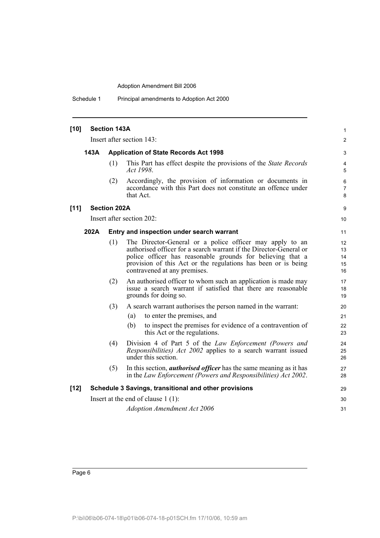Schedule 1 Principal amendments to Adoption Act 2000

| $[10]$ |      | <b>Section 143A</b> |                                                                                                                                                                                                                                                                                               | $\mathbf{1}$               |
|--------|------|---------------------|-----------------------------------------------------------------------------------------------------------------------------------------------------------------------------------------------------------------------------------------------------------------------------------------------|----------------------------|
|        |      |                     | Insert after section 143:                                                                                                                                                                                                                                                                     | $\overline{2}$             |
|        | 143A |                     | <b>Application of State Records Act 1998</b>                                                                                                                                                                                                                                                  | 3                          |
|        |      | (1)                 | This Part has effect despite the provisions of the State Records<br>Act 1998.                                                                                                                                                                                                                 | 4<br>5                     |
|        |      | (2)                 | Accordingly, the provision of information or documents in<br>accordance with this Part does not constitute an offence under<br>that Act.                                                                                                                                                      | 6<br>$\overline{7}$<br>8   |
| [11]   |      | <b>Section 202A</b> |                                                                                                                                                                                                                                                                                               | 9                          |
|        |      |                     | Insert after section 202:                                                                                                                                                                                                                                                                     | 10                         |
|        | 202A |                     | Entry and inspection under search warrant                                                                                                                                                                                                                                                     | 11                         |
|        |      | (1)                 | The Director-General or a police officer may apply to an<br>authorised officer for a search warrant if the Director-General or<br>police officer has reasonable grounds for believing that a<br>provision of this Act or the regulations has been or is being<br>contravened at any premises. | 12<br>13<br>14<br>15<br>16 |
|        |      | (2)                 | An authorised officer to whom such an application is made may<br>issue a search warrant if satisfied that there are reasonable<br>grounds for doing so.                                                                                                                                       | 17<br>18<br>19             |
|        |      | (3)                 | A search warrant authorises the person named in the warrant:                                                                                                                                                                                                                                  | 20                         |
|        |      |                     | to enter the premises, and<br>(a)                                                                                                                                                                                                                                                             | 21                         |
|        |      |                     | (b)<br>to inspect the premises for evidence of a contravention of<br>this Act or the regulations.                                                                                                                                                                                             | 22<br>23                   |
|        |      | (4)                 | Division 4 of Part 5 of the Law Enforcement (Powers and<br><i>Responsibilities</i> ) <i>Act 2002</i> applies to a search warrant issued<br>under this section.                                                                                                                                | 24<br>25<br>26             |
|        |      | (5)                 | In this section, <i>authorised officer</i> has the same meaning as it has<br>in the Law Enforcement (Powers and Responsibilities) Act 2002.                                                                                                                                                   | 27<br>28                   |
| $[12]$ |      |                     | Schedule 3 Savings, transitional and other provisions                                                                                                                                                                                                                                         | 29                         |
|        |      |                     | Insert at the end of clause $1(1)$ :                                                                                                                                                                                                                                                          | 30                         |
|        |      |                     | <b>Adoption Amendment Act 2006</b>                                                                                                                                                                                                                                                            | 31                         |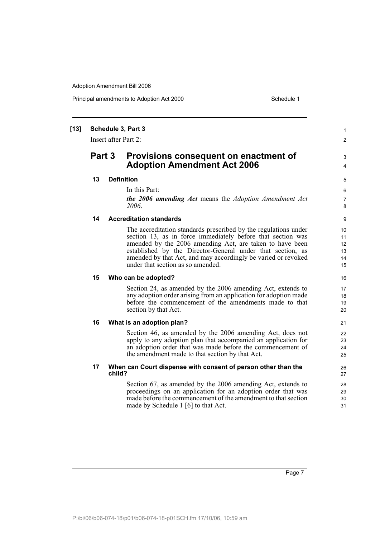Principal amendments to Adoption Act 2000 Schedule 1

1  $\mathfrak{p}$ 

3 4

## **[13] Schedule 3, Part 3**

Insert after Part 2:

## **Part 3 Provisions consequent on enactment of Adoption Amendment Act 2006**

### **13 Definition**

In this Part:

*the 2006 amending Act* means the *Adoption Amendment Act 2006*.

## **14 Accreditation standards**

The accreditation standards prescribed by the regulations under section 13, as in force immediately before that section was amended by the 2006 amending Act, are taken to have been established by the Director-General under that section, as amended by that Act, and may accordingly be varied or revoked under that section as so amended.

#### **15 Who can be adopted?**

Section 24, as amended by the 2006 amending Act, extends to any adoption order arising from an application for adoption made before the commencement of the amendments made to that section by that Act.

#### **16 What is an adoption plan?**

Section 46, as amended by the 2006 amending Act, does not apply to any adoption plan that accompanied an application for an adoption order that was made before the commencement of the amendment made to that section by that Act.

#### **17 When can Court dispense with consent of person other than the child?**

Section 67, as amended by the 2006 amending Act, extends to proceedings on an application for an adoption order that was made before the commencement of the amendment to that section made by Schedule 1 [6] to that Act.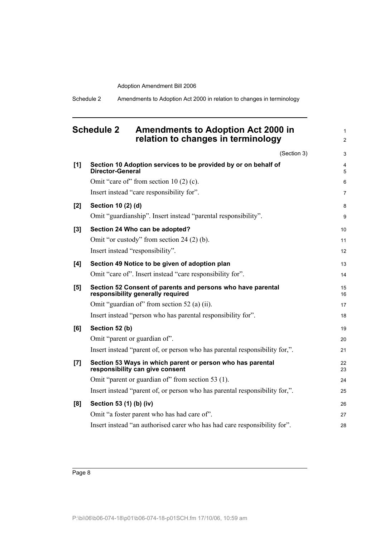Schedule 2 Amendments to Adoption Act 2000 in relation to changes in terminology

## <span id="page-13-0"></span>**Schedule 2 Amendments to Adoption Act 2000 in relation to changes in terminology**

1 2

|                                                                                                  | 3                                                                                                                                                                                                                                                                                                                        |
|--------------------------------------------------------------------------------------------------|--------------------------------------------------------------------------------------------------------------------------------------------------------------------------------------------------------------------------------------------------------------------------------------------------------------------------|
| <b>Director-General</b>                                                                          | 4<br>5                                                                                                                                                                                                                                                                                                                   |
| Omit "care of" from section $10(2)$ (c).                                                         | 6                                                                                                                                                                                                                                                                                                                        |
| Insert instead "care responsibility for".                                                        | 7                                                                                                                                                                                                                                                                                                                        |
| Section 10 (2) (d)                                                                               | 8                                                                                                                                                                                                                                                                                                                        |
| Omit "guardianship". Insert instead "parental responsibility".                                   | 9                                                                                                                                                                                                                                                                                                                        |
| Section 24 Who can be adopted?                                                                   | 10                                                                                                                                                                                                                                                                                                                       |
| Omit "or custody" from section 24 (2) (b).                                                       | 11                                                                                                                                                                                                                                                                                                                       |
| Insert instead "responsibility".                                                                 | 12                                                                                                                                                                                                                                                                                                                       |
| Section 49 Notice to be given of adoption plan                                                   | 13                                                                                                                                                                                                                                                                                                                       |
| Omit "care of". Insert instead "care responsibility for".                                        | 14                                                                                                                                                                                                                                                                                                                       |
| Section 52 Consent of parents and persons who have parental<br>responsibility generally required | 15<br>16                                                                                                                                                                                                                                                                                                                 |
| Omit "guardian of" from section 52 (a) (ii).                                                     | 17                                                                                                                                                                                                                                                                                                                       |
| Insert instead "person who has parental responsibility for".                                     | 18                                                                                                                                                                                                                                                                                                                       |
| Section 52 (b)                                                                                   | 19                                                                                                                                                                                                                                                                                                                       |
| Omit "parent or guardian of".                                                                    | 20                                                                                                                                                                                                                                                                                                                       |
|                                                                                                  | 21                                                                                                                                                                                                                                                                                                                       |
| Section 53 Ways in which parent or person who has parental<br>responsibility can give consent    | 22<br>23                                                                                                                                                                                                                                                                                                                 |
| Omit "parent or guardian of" from section 53 (1).                                                | 24                                                                                                                                                                                                                                                                                                                       |
|                                                                                                  | 25                                                                                                                                                                                                                                                                                                                       |
| Section 53 (1) (b) (iv)                                                                          | 26                                                                                                                                                                                                                                                                                                                       |
| Omit "a foster parent who has had care of".                                                      | 27                                                                                                                                                                                                                                                                                                                       |
|                                                                                                  | 28                                                                                                                                                                                                                                                                                                                       |
|                                                                                                  | (Section 3)<br>Section 10 Adoption services to be provided by or on behalf of<br>Insert instead "parent of, or person who has parental responsibility for,".<br>Insert instead "parent of, or person who has parental responsibility for,".<br>Insert instead "an authorised carer who has had care responsibility for". |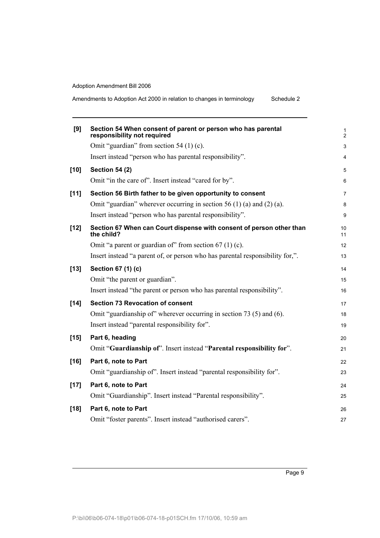Amendments to Adoption Act 2000 in relation to changes in terminology Schedule 2

| [9]    | Section 54 When consent of parent or person who has parental<br>responsibility not required |          |
|--------|---------------------------------------------------------------------------------------------|----------|
|        | Omit "guardian" from section $54(1)(c)$ .                                                   |          |
|        | Insert instead "person who has parental responsibility".                                    |          |
| $[10]$ | <b>Section 54 (2)</b>                                                                       |          |
|        | Omit "in the care of". Insert instead "cared for by".                                       |          |
| $[11]$ | Section 56 Birth father to be given opportunity to consent                                  |          |
|        | Omit "guardian" wherever occurring in section 56 (1) (a) and (2) (a).                       |          |
|        | Insert instead "person who has parental responsibility".                                    |          |
| $[12]$ | Section 67 When can Court dispense with consent of person other than<br>the child?          | 10<br>11 |
|        | Omit "a parent or guardian of" from section $67(1)(c)$ .                                    | 12       |
|        | Insert instead "a parent of, or person who has parental responsibility for,".               | 13       |
| $[13]$ | Section 67 (1) (c)                                                                          | 14       |
|        | Omit "the parent or guardian".                                                              | 15       |
|        | Insert instead "the parent or person who has parental responsibility".                      | 16       |
| $[14]$ | <b>Section 73 Revocation of consent</b>                                                     | 17       |
|        | Omit "guardianship of" wherever occurring in section 73 (5) and (6).                        | 18       |
|        | Insert instead "parental responsibility for".                                               | 19       |
| $[15]$ | Part 6, heading                                                                             | 20       |
|        | Omit "Guardianship of". Insert instead "Parental responsibility for".                       | 21       |
| $[16]$ | Part 6, note to Part                                                                        | 22       |
|        | Omit "guardianship of". Insert instead "parental responsibility for".                       | 23       |
| $[17]$ | Part 6, note to Part                                                                        | 24       |
|        | Omit "Guardianship". Insert instead "Parental responsibility".                              | 25       |
| $[18]$ | Part 6, note to Part                                                                        | 26       |
|        | Omit "foster parents". Insert instead "authorised carers".                                  | 27       |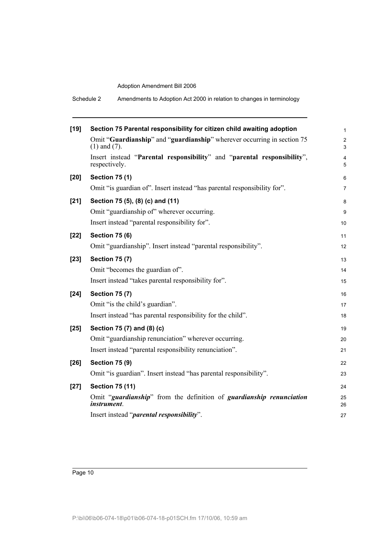Schedule 2 Amendments to Adoption Act 2000 in relation to changes in terminology

| $[19]$ | Section 75 Parental responsibility for citizen child awaiting adoption                       | $\mathbf{1}$                 |
|--------|----------------------------------------------------------------------------------------------|------------------------------|
|        | Omit "Guardianship" and "guardianship" wherever occurring in section 75<br>$(1)$ and $(7)$ . | $\overline{\mathbf{c}}$<br>3 |
|        | Insert instead "Parental responsibility" and "parental responsibility",<br>respectively.     | 4<br>5                       |
| $[20]$ | <b>Section 75 (1)</b>                                                                        | 6                            |
|        | Omit "is guardian of". Insert instead "has parental responsibility for".                     | 7                            |
| $[21]$ | Section 75 (5), (8) (c) and (11)                                                             | 8                            |
|        | Omit "guardianship of" wherever occurring.                                                   | 9                            |
|        | Insert instead "parental responsibility for".                                                | 10                           |
| $[22]$ | <b>Section 75 (6)</b>                                                                        | 11                           |
|        | Omit "guardianship". Insert instead "parental responsibility".                               | 12                           |
| $[23]$ | <b>Section 75 (7)</b>                                                                        | 13                           |
|        | Omit "becomes the guardian of".                                                              | 14                           |
|        | Insert instead "takes parental responsibility for".                                          | 15                           |
| $[24]$ | <b>Section 75 (7)</b>                                                                        | 16                           |
|        | Omit "is the child's guardian".                                                              | 17                           |
|        | Insert instead "has parental responsibility for the child".                                  | 18                           |
| $[25]$ | Section 75 (7) and (8) (c)                                                                   | 19                           |
|        | Omit "guardianship renunciation" wherever occurring.                                         | 20                           |
|        | Insert instead "parental responsibility renunciation".                                       | 21                           |
| $[26]$ | <b>Section 75 (9)</b>                                                                        | 22                           |
|        | Omit "is guardian". Insert instead "has parental responsibility".                            | 23                           |
| $[27]$ | <b>Section 75 (11)</b>                                                                       | 24                           |
|        | Omit "guardianship" from the definition of guardianship renunciation<br>instrument.          | 25<br>26                     |
|        | Insert instead " <i>parental responsibility</i> ".                                           | 27                           |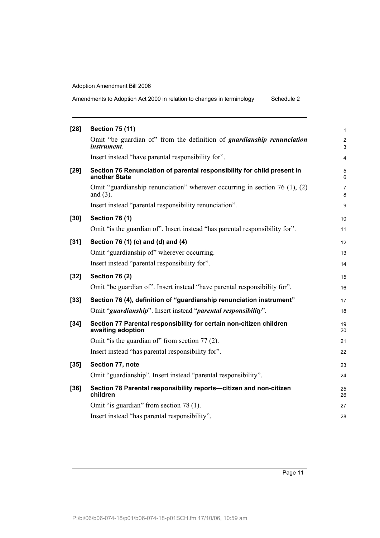|  | Amendments to Adoption Act 2000 in relation to changes in terminology |  |  |  | Schedule 2 |
|--|-----------------------------------------------------------------------|--|--|--|------------|
|--|-----------------------------------------------------------------------|--|--|--|------------|

| $[28]$ | <b>Section 75 (11)</b>                                                                             | 1                            |
|--------|----------------------------------------------------------------------------------------------------|------------------------------|
|        | Omit "be guardian of" from the definition of <i>guardianship renunciation</i><br><i>instrument</i> | $\overline{\mathbf{c}}$<br>3 |
|        | Insert instead "have parental responsibility for".                                                 | 4                            |
| $[29]$ | Section 76 Renunciation of parental responsibility for child present in<br>another State           | 5<br>6                       |
|        | Omit "guardianship renunciation" wherever occurring in section $76(1)$ , $(2)$<br>and $(3)$ .      | 7<br>8                       |
|        | Insert instead "parental responsibility renunciation".                                             | 9                            |
| $[30]$ | <b>Section 76 (1)</b>                                                                              | 10                           |
|        | Omit "is the guardian of". Insert instead "has parental responsibility for".                       | 11                           |
| $[31]$ | Section 76 (1) (c) and (d) and (4)                                                                 | 12                           |
|        | Omit "guardianship of" wherever occurring.                                                         | 13                           |
|        | Insert instead "parental responsibility for".                                                      | 14                           |
| $[32]$ | <b>Section 76 (2)</b>                                                                              | 15                           |
|        | Omit "be guardian of". Insert instead "have parental responsibility for".                          | 16                           |
| $[33]$ | Section 76 (4), definition of "guardianship renunciation instrument"                               | 17                           |
|        | Omit "guardianship". Insert instead "parental responsibility".                                     | 18                           |
| $[34]$ | Section 77 Parental responsibility for certain non-citizen children<br>awaiting adoption           | 19<br>20                     |
|        | Omit "is the guardian of" from section 77 (2).                                                     | 21                           |
|        | Insert instead "has parental responsibility for".                                                  | 22                           |
| $[35]$ | Section 77, note                                                                                   | 23                           |
|        | Omit "guardianship". Insert instead "parental responsibility".                                     | 24                           |
| $[36]$ | Section 78 Parental responsibility reports-citizen and non-citizen<br>children                     | 25<br>26                     |
|        | Omit "is guardian" from section 78 (1).                                                            | 27                           |
|        | Insert instead "has parental responsibility".                                                      | 28                           |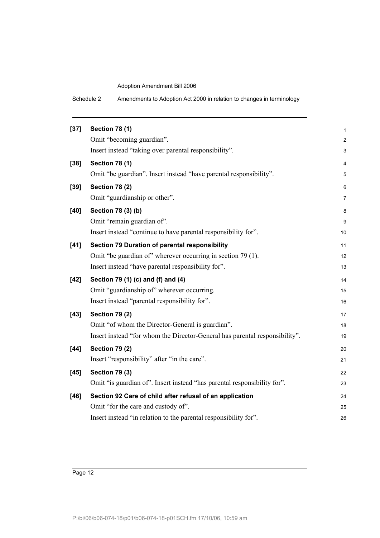Schedule 2 Amendments to Adoption Act 2000 in relation to changes in terminology

| $[37]$<br><b>Section 78 (1)</b><br>Omit "becoming guardian".<br>Insert instead "taking over parental responsibility".<br><b>Section 78 (1)</b><br>$[38]$<br>Omit "be guardian". Insert instead "have parental responsibility".<br><b>Section 78 (2)</b><br>$[39]$<br>Omit "guardianship or other".<br>$[40]$<br>Section 78 (3) (b)<br>Omit "remain guardian of".<br>Insert instead "continue to have parental responsibility for".<br>Section 79 Duration of parental responsibility<br>$[41]$<br>Omit "be guardian of" wherever occurring in section 79 (1).<br>Insert instead "have parental responsibility for".<br>Section 79 (1) (c) and (f) and (4)<br>$[42]$<br>Omit "guardianship of" wherever occurring.<br>Insert instead "parental responsibility for".<br><b>Section 79 (2)</b><br>$[43]$<br>Omit "of whom the Director-General is guardian".<br>Insert instead "for whom the Director-General has parental responsibility".<br><b>Section 79 (2)</b><br>$[44]$ | $\mathbf{1}$<br>$\overline{c}$<br>3<br>4<br>5<br>6<br>$\overline{7}$<br>8<br>9<br>10<br>11 |
|-----------------------------------------------------------------------------------------------------------------------------------------------------------------------------------------------------------------------------------------------------------------------------------------------------------------------------------------------------------------------------------------------------------------------------------------------------------------------------------------------------------------------------------------------------------------------------------------------------------------------------------------------------------------------------------------------------------------------------------------------------------------------------------------------------------------------------------------------------------------------------------------------------------------------------------------------------------------------------|--------------------------------------------------------------------------------------------|
|                                                                                                                                                                                                                                                                                                                                                                                                                                                                                                                                                                                                                                                                                                                                                                                                                                                                                                                                                                             |                                                                                            |
|                                                                                                                                                                                                                                                                                                                                                                                                                                                                                                                                                                                                                                                                                                                                                                                                                                                                                                                                                                             |                                                                                            |
|                                                                                                                                                                                                                                                                                                                                                                                                                                                                                                                                                                                                                                                                                                                                                                                                                                                                                                                                                                             |                                                                                            |
|                                                                                                                                                                                                                                                                                                                                                                                                                                                                                                                                                                                                                                                                                                                                                                                                                                                                                                                                                                             |                                                                                            |
|                                                                                                                                                                                                                                                                                                                                                                                                                                                                                                                                                                                                                                                                                                                                                                                                                                                                                                                                                                             |                                                                                            |
|                                                                                                                                                                                                                                                                                                                                                                                                                                                                                                                                                                                                                                                                                                                                                                                                                                                                                                                                                                             |                                                                                            |
|                                                                                                                                                                                                                                                                                                                                                                                                                                                                                                                                                                                                                                                                                                                                                                                                                                                                                                                                                                             |                                                                                            |
|                                                                                                                                                                                                                                                                                                                                                                                                                                                                                                                                                                                                                                                                                                                                                                                                                                                                                                                                                                             |                                                                                            |
|                                                                                                                                                                                                                                                                                                                                                                                                                                                                                                                                                                                                                                                                                                                                                                                                                                                                                                                                                                             |                                                                                            |
|                                                                                                                                                                                                                                                                                                                                                                                                                                                                                                                                                                                                                                                                                                                                                                                                                                                                                                                                                                             |                                                                                            |
|                                                                                                                                                                                                                                                                                                                                                                                                                                                                                                                                                                                                                                                                                                                                                                                                                                                                                                                                                                             |                                                                                            |
|                                                                                                                                                                                                                                                                                                                                                                                                                                                                                                                                                                                                                                                                                                                                                                                                                                                                                                                                                                             | 12                                                                                         |
|                                                                                                                                                                                                                                                                                                                                                                                                                                                                                                                                                                                                                                                                                                                                                                                                                                                                                                                                                                             | 13                                                                                         |
|                                                                                                                                                                                                                                                                                                                                                                                                                                                                                                                                                                                                                                                                                                                                                                                                                                                                                                                                                                             | 14                                                                                         |
|                                                                                                                                                                                                                                                                                                                                                                                                                                                                                                                                                                                                                                                                                                                                                                                                                                                                                                                                                                             | 15                                                                                         |
|                                                                                                                                                                                                                                                                                                                                                                                                                                                                                                                                                                                                                                                                                                                                                                                                                                                                                                                                                                             | 16                                                                                         |
|                                                                                                                                                                                                                                                                                                                                                                                                                                                                                                                                                                                                                                                                                                                                                                                                                                                                                                                                                                             | 17                                                                                         |
|                                                                                                                                                                                                                                                                                                                                                                                                                                                                                                                                                                                                                                                                                                                                                                                                                                                                                                                                                                             | 18                                                                                         |
|                                                                                                                                                                                                                                                                                                                                                                                                                                                                                                                                                                                                                                                                                                                                                                                                                                                                                                                                                                             | 19                                                                                         |
|                                                                                                                                                                                                                                                                                                                                                                                                                                                                                                                                                                                                                                                                                                                                                                                                                                                                                                                                                                             | 20                                                                                         |
| Insert "responsibility" after "in the care".                                                                                                                                                                                                                                                                                                                                                                                                                                                                                                                                                                                                                                                                                                                                                                                                                                                                                                                                | 21                                                                                         |
| <b>Section 79 (3)</b><br>$[45]$                                                                                                                                                                                                                                                                                                                                                                                                                                                                                                                                                                                                                                                                                                                                                                                                                                                                                                                                             | 22                                                                                         |
| Omit "is guardian of". Insert instead "has parental responsibility for".                                                                                                                                                                                                                                                                                                                                                                                                                                                                                                                                                                                                                                                                                                                                                                                                                                                                                                    | 23                                                                                         |
| $[46]$<br>Section 92 Care of child after refusal of an application                                                                                                                                                                                                                                                                                                                                                                                                                                                                                                                                                                                                                                                                                                                                                                                                                                                                                                          | 24                                                                                         |
| Omit "for the care and custody of".                                                                                                                                                                                                                                                                                                                                                                                                                                                                                                                                                                                                                                                                                                                                                                                                                                                                                                                                         | 25                                                                                         |
| Insert instead "in relation to the parental responsibility for".                                                                                                                                                                                                                                                                                                                                                                                                                                                                                                                                                                                                                                                                                                                                                                                                                                                                                                            |                                                                                            |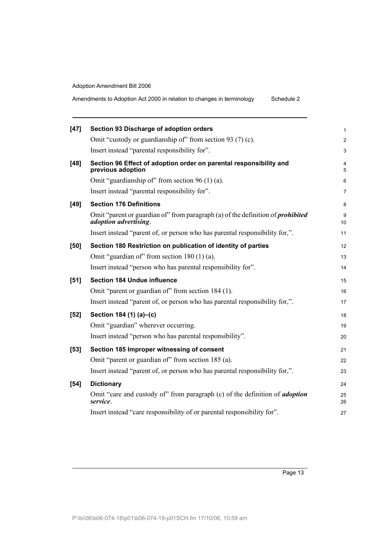Amendments to Adoption Act 2000 in relation to changes in terminology Schedule 2

| $[47]$ | Section 93 Discharge of adoption orders                                                                                | 1              |
|--------|------------------------------------------------------------------------------------------------------------------------|----------------|
|        | Omit "custody or guardianship of" from section 93 (7) (c).                                                             | $\overline{c}$ |
|        | Insert instead "parental responsibility for".                                                                          | 3              |
| $[48]$ | Section 96 Effect of adoption order on parental responsibility and<br>previous adoption                                | 4<br>5         |
|        | Omit "guardianship of" from section 96 (1) (a).                                                                        | $\,6$          |
|        | Insert instead "parental responsibility for".                                                                          | $\overline{7}$ |
| $[49]$ | <b>Section 176 Definitions</b>                                                                                         | 8              |
|        | Omit "parent or guardian of" from paragraph (a) of the definition of <i>prohibited</i><br><i>adoption advertising.</i> | 9<br>10        |
|        | Insert instead "parent of, or person who has parental responsibility for,".                                            | 11             |
| [50]   | Section 180 Restriction on publication of identity of parties                                                          | 12             |
|        | Omit "guardian of" from section $180(1)(a)$ .                                                                          | 13             |
|        | Insert instead "person who has parental responsibility for".                                                           | 14             |
| $[51]$ | <b>Section 184 Undue influence</b>                                                                                     | 15             |
|        | Omit "parent or guardian of" from section 184 (1).                                                                     | 16             |
|        | Insert instead "parent of, or person who has parental responsibility for,".                                            | 17             |
| $[52]$ | Section 184 (1) (a)-(c)                                                                                                | 18             |
|        | Omit "guardian" wherever occurring.                                                                                    | 19             |
|        | Insert instead "person who has parental responsibility".                                                               | 20             |
| [53]   | Section 185 Improper witnessing of consent                                                                             | 21             |
|        | Omit "parent or guardian of" from section 185 (a).                                                                     | 22             |
|        | Insert instead "parent of, or person who has parental responsibility for,".                                            | 23             |
| $[54]$ | <b>Dictionary</b>                                                                                                      | 24             |
|        | Omit "care and custody of" from paragraph (c) of the definition of <i>adoption</i><br>service.                         | 25<br>26       |
|        | Insert instead "care responsibility of or parental responsibility for".                                                | 27             |
|        |                                                                                                                        |                |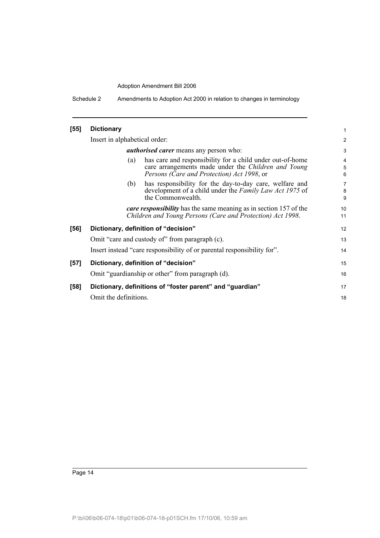Schedule 2 Amendments to Adoption Act 2000 in relation to changes in terminology

| $[55]$ | <b>Dictionary</b>                                                       |                                                                                                                                                                              | 1                        |
|--------|-------------------------------------------------------------------------|------------------------------------------------------------------------------------------------------------------------------------------------------------------------------|--------------------------|
|        | Insert in alphabetical order:                                           |                                                                                                                                                                              | 2                        |
|        | <i>authorised carer</i> means any person who:                           |                                                                                                                                                                              | 3                        |
|        | (a)                                                                     | has care and responsibility for a child under out-of-home<br>care arrangements made under the <i>Children and Young</i><br><i>Persons (Care and Protection) Act 1998, or</i> | 4<br>5<br>6              |
|        | (b)<br>the Commonwealth.                                                | has responsibility for the day-to-day care, welfare and<br>development of a child under the Family Law Act 1975 of                                                           | $\overline{7}$<br>8<br>9 |
|        |                                                                         | <i>care responsibility</i> has the same meaning as in section 157 of the<br>Children and Young Persons (Care and Protection) Act 1998.                                       | 10<br>11                 |
| $[56]$ | Dictionary, definition of "decision"                                    |                                                                                                                                                                              | 12                       |
|        | Omit "care and custody of" from paragraph (c).                          |                                                                                                                                                                              | 13                       |
|        | Insert instead "care responsibility of or parental responsibility for". |                                                                                                                                                                              | 14                       |
| $[57]$ | Dictionary, definition of "decision"                                    |                                                                                                                                                                              | 15                       |
|        | Omit "guardianship or other" from paragraph (d).                        |                                                                                                                                                                              | 16                       |
| $[58]$ | Dictionary, definitions of "foster parent" and "guardian"               |                                                                                                                                                                              | 17                       |
|        | Omit the definitions.                                                   |                                                                                                                                                                              | 18                       |